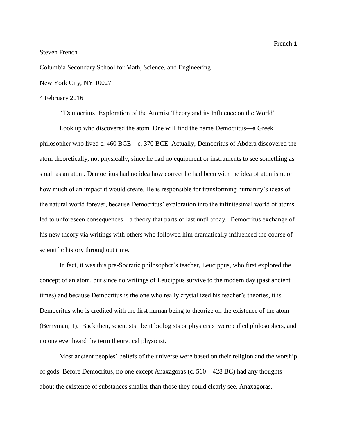Steven French

Columbia Secondary School for Math, Science, and Engineering

New York City, NY 10027

## 4 February 2016

"Democritus' Exploration of the Atomist Theory and its Influence on the World"

Look up who discovered the atom. One will find the name Democritus—a Greek philosopher who lived c. 460 BCE – c. 370 BCE. Actually, Democritus of Abdera discovered the atom theoretically, not physically, since he had no equipment or instruments to see something as small as an atom. Democritus had no idea how correct he had been with the idea of atomism, or how much of an impact it would create. He is responsible for transforming humanity's ideas of the natural world forever, because Democritus' exploration into the infinitesimal world of atoms led to unforeseen consequences—a theory that parts of last until today. Democritus exchange of his new theory via writings with others who followed him dramatically influenced the course of scientific history throughout time.

In fact, it was this pre-Socratic philosopher's teacher, Leucippus, who first explored the concept of an atom, but since no writings of Leucippus survive to the modern day (past ancient times) and because Democritus is the one who really crystallized his teacher's theories, it is Democritus who is credited with the first human being to theorize on the existence of the atom (Berryman, 1). Back then, scientists –be it biologists or physicists–were called philosophers, and no one ever heard the term theoretical physicist.

Most ancient peoples' beliefs of the universe were based on their religion and the worship of gods. Before Democritus, no one except Anaxagoras (c. 510 – 428 BC) had any thoughts about the existence of substances smaller than those they could clearly see. Anaxagoras,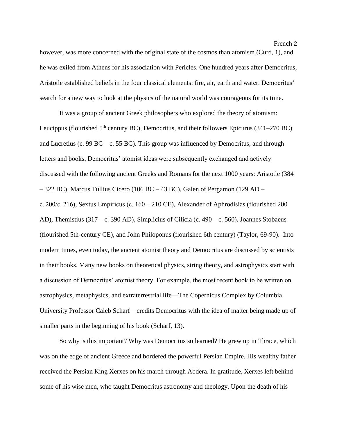however, was more concerned with the original state of the cosmos than atomism (Curd, 1), and he was exiled from Athens for his association with Pericles. One hundred years after Democritus, Aristotle established beliefs in the four classical elements: fire, air, earth and water. Democritus' search for a new way to look at the physics of the natural world was courageous for its time.

It was a group of ancient Greek philosophers who explored the theory of atomism: Leucippus (flourished  $5<sup>th</sup>$  century BC), Democritus, and their followers Epicurus (341–270 BC) and Lucretius (c. 99 BC – c. 55 BC). This group was influenced by Democritus, and through letters and books, Democritus' atomist ideas were subsequently exchanged and actively discussed with the following ancient Greeks and Romans for the next 1000 years: Aristotle (384 – 322 BC), Marcus Tullius Cicero (106 BC – 43 BC), Galen of Pergamon (129 AD – c. 200/c. 216), Sextus Empiricus (c. 160 – 210 CE), Alexander of Aphrodisias (flourished 200 AD), Themistius (317 – c. 390 AD), Simplicius of Cilicia (c. 490 – c. 560), Joannes Stobaeus (flourished 5th-century CE), and John Philoponus (flourished 6th century) (Taylor, 69-90). Into modern times, even today, the ancient atomist theory and Democritus are discussed by scientists in their books. Many new books on theoretical physics, string theory, and astrophysics start with a discussion of Democritus' atomist theory. For example, the most recent book to be written on astrophysics, metaphysics, and extraterrestrial life—The Copernicus Complex by Columbia University Professor Caleb Scharf—credits Democritus with the idea of matter being made up of smaller parts in the beginning of his book (Scharf, 13).

So why is this important? Why was Democritus so learned? He grew up in Thrace, which was on the edge of ancient Greece and bordered the powerful Persian Empire. His wealthy father received the Persian King Xerxes on his march through Abdera. In gratitude, Xerxes left behind some of his wise men, who taught Democritus astronomy and theology. Upon the death of his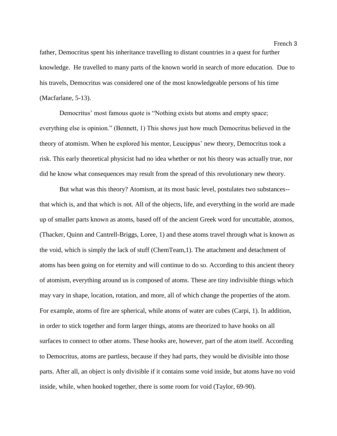father, Democritus spent his inheritance travelling to distant countries in a quest for further knowledge. He travelled to many parts of the known world in search of more education. Due to his travels, Democritus was considered one of the most knowledgeable persons of his time (Macfarlane, 5-13).

Democritus' most famous quote is "Nothing exists but atoms and empty space; everything else is opinion." (Bennett, 1) This shows just how much Democritus believed in the theory of atomism. When he explored his mentor, Leucippus' new theory, Democritus took a risk. This early theoretical physicist had no idea whether or not his theory was actually true, nor did he know what consequences may result from the spread of this revolutionary new theory.

But what was this theory? Atomism, at its most basic level, postulates two substances- that which is, and that which is not. All of the objects, life, and everything in the world are made up of smaller parts known as atoms, based off of the ancient Greek word for uncuttable, atomos, (Thacker, Quinn and Cantrell-Briggs, Loree, 1) and these atoms travel through what is known as the void, which is simply the lack of stuff (ChemTeam,1). The attachment and detachment of atoms has been going on for eternity and will continue to do so. According to this ancient theory of atomism, everything around us is composed of atoms. These are tiny indivisible things which may vary in shape, location, rotation, and more, all of which change the properties of the atom. For example, atoms of fire are spherical, while atoms of water are cubes (Carpi, 1). In addition, in order to stick together and form larger things, atoms are theorized to have hooks on all surfaces to connect to other atoms. These hooks are, however, part of the atom itself. According to Democritus, atoms are partless, because if they had parts, they would be divisible into those parts. After all, an object is only divisible if it contains some void inside, but atoms have no void inside, while, when hooked together, there is some room for void (Taylor, 69-90).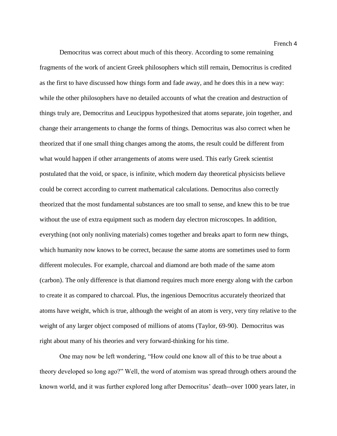Democritus was correct about much of this theory. According to some remaining fragments of the work of ancient Greek philosophers which still remain, Democritus is credited as the first to have discussed how things form and fade away, and he does this in a new way: while the other philosophers have no detailed accounts of what the creation and destruction of things truly are, Democritus and Leucippus hypothesized that atoms separate, join together, and change their arrangements to change the forms of things. Democritus was also correct when he theorized that if one small thing changes among the atoms, the result could be different from what would happen if other arrangements of atoms were used. This early Greek scientist postulated that the void, or space, is infinite, which modern day theoretical physicists believe could be correct according to current mathematical calculations. Democritus also correctly theorized that the most fundamental substances are too small to sense, and knew this to be true without the use of extra equipment such as modern day electron microscopes. In addition, everything (not only nonliving materials) comes together and breaks apart to form new things, which humanity now knows to be correct, because the same atoms are sometimes used to form different molecules. For example, charcoal and diamond are both made of the same atom (carbon). The only difference is that diamond requires much more energy along with the carbon to create it as compared to charcoal. Plus, the ingenious Democritus accurately theorized that atoms have weight, which is true, although the weight of an atom is very, very tiny relative to the weight of any larger object composed of millions of atoms (Taylor, 69-90). Democritus was right about many of his theories and very forward-thinking for his time.

One may now be left wondering, "How could one know all of this to be true about a theory developed so long ago?" Well, the word of atomism was spread through others around the known world, and it was further explored long after Democritus' death--over 1000 years later, in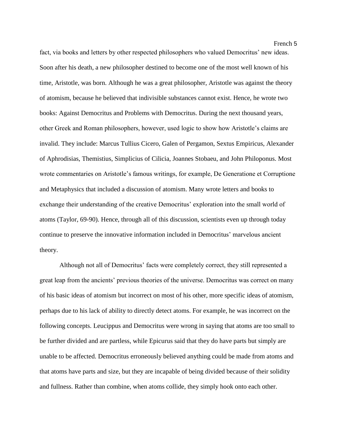fact, via books and letters by other respected philosophers who valued Democritus' new ideas. Soon after his death, a new philosopher destined to become one of the most well known of his time, Aristotle, was born. Although he was a great philosopher, Aristotle was against the theory of atomism, because he believed that indivisible substances cannot exist. Hence, he wrote two books: Against Democritus and Problems with Democritus. During the next thousand years, other Greek and Roman philosophers, however, used logic to show how Aristotle's claims are invalid. They include: Marcus Tullius Cicero, Galen of Pergamon, Sextus Empiricus, Alexander of Aphrodisias, Themistius, Simplicius of Cilicia, Joannes Stobaeu, and John Philoponus. Most wrote commentaries on Aristotle's famous writings, for example, De Generatione et Corruptione and Metaphysics that included a discussion of atomism. Many wrote letters and books to exchange their understanding of the creative Democritus' exploration into the small world of atoms (Taylor, 69-90). Hence, through all of this discussion, scientists even up through today continue to preserve the innovative information included in Democritus' marvelous ancient theory.

Although not all of Democritus' facts were completely correct, they still represented a great leap from the ancients' previous theories of the universe. Democritus was correct on many of his basic ideas of atomism but incorrect on most of his other, more specific ideas of atomism, perhaps due to his lack of ability to directly detect atoms. For example, he was incorrect on the following concepts. Leucippus and Democritus were wrong in saying that atoms are too small to be further divided and are partless, while Epicurus said that they do have parts but simply are unable to be affected. Democritus erroneously believed anything could be made from atoms and that atoms have parts and size, but they are incapable of being divided because of their solidity and fullness. Rather than combine, when atoms collide, they simply hook onto each other.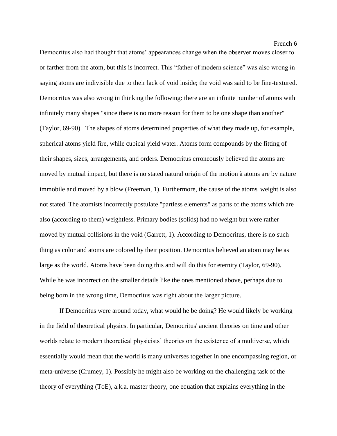Democritus also had thought that atoms' appearances change when the observer moves closer to or farther from the atom, but this is incorrect. This "father of modern science" was also wrong in saying atoms are indivisible due to their lack of void inside; the void was said to be fine-textured. Democritus was also wrong in thinking the following: there are an infinite number of atoms with infinitely many shapes "since there is no more reason for them to be one shape than another" (Taylor, 69-90). The shapes of atoms determined properties of what they made up, for example, spherical atoms yield fire, while cubical yield water. Atoms form compounds by the fitting of their shapes, sizes, arrangements, and orders. Democritus erroneously believed the atoms are moved by mutual impact, but there is no stated natural origin of the motion à atoms are by nature immobile and moved by a blow (Freeman, 1). Furthermore, the cause of the atoms' weight is also not stated. The atomists incorrectly postulate "partless elements" as parts of the atoms which are also (according to them) weightless. Primary bodies (solids) had no weight but were rather moved by mutual collisions in the void (Garrett, 1). According to Democritus, there is no such thing as color and atoms are colored by their position. Democritus believed an atom may be as large as the world. Atoms have been doing this and will do this for eternity (Taylor, 69-90). While he was incorrect on the smaller details like the ones mentioned above, perhaps due to being born in the wrong time, Democritus was right about the larger picture.

If Democritus were around today, what would he be doing? He would likely be working in the field of theoretical physics. In particular, Democritus' ancient theories on time and other worlds relate to modern theoretical physicists' theories on the existence of a multiverse, which essentially would mean that the world is many universes together in one encompassing region, or meta-universe (Crumey, 1). Possibly he might also be working on the challenging task of the theory of everything (ToE), a.k.a. master theory, one equation that explains everything in the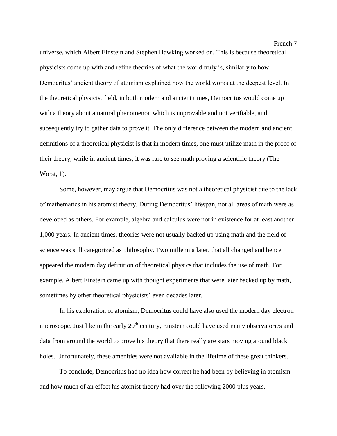universe, which Albert Einstein and Stephen Hawking worked on. This is because theoretical physicists come up with and refine theories of what the world truly is, similarly to how Democritus' ancient theory of atomism explained how the world works at the deepest level. In the theoretical physicist field, in both modern and ancient times, Democritus would come up with a theory about a natural phenomenon which is unprovable and not verifiable, and subsequently try to gather data to prove it. The only difference between the modern and ancient definitions of a theoretical physicist is that in modern times, one must utilize math in the proof of their theory, while in ancient times, it was rare to see math proving a scientific theory (The Worst, 1).

Some, however, may argue that Democritus was not a theoretical physicist due to the lack of mathematics in his atomist theory. During Democritus' lifespan, not all areas of math were as developed as others. For example, algebra and calculus were not in existence for at least another 1,000 years. In ancient times, theories were not usually backed up using math and the field of science was still categorized as philosophy. Two millennia later, that all changed and hence appeared the modern day definition of theoretical physics that includes the use of math. For example, Albert Einstein came up with thought experiments that were later backed up by math, sometimes by other theoretical physicists' even decades later.

In his exploration of atomism, Democritus could have also used the modern day electron microscope. Just like in the early 20<sup>th</sup> century, Einstein could have used many observatories and data from around the world to prove his theory that there really are stars moving around black holes. Unfortunately, these amenities were not available in the lifetime of these great thinkers.

To conclude, Democritus had no idea how correct he had been by believing in atomism and how much of an effect his atomist theory had over the following 2000 plus years.

French 7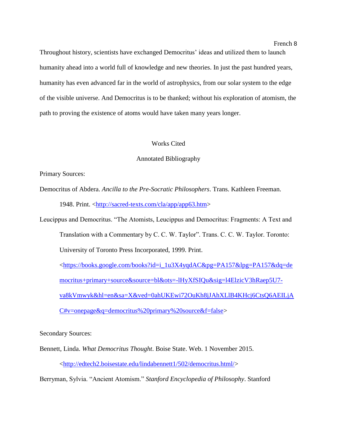Throughout history, scientists have exchanged Democritus' ideas and utilized them to launch humanity ahead into a world full of knowledge and new theories. In just the past hundred years, humanity has even advanced far in the world of astrophysics, from our solar system to the edge of the visible universe. And Democritus is to be thanked; without his exploration of atomism, the path to proving the existence of atoms would have taken many years longer.

## Works Cited

## Annotated Bibliography

Primary Sources:

Democritus of Abdera. *Ancilla to the Pre-Socratic Philosophers*. Trans. Kathleen Freeman. 1948. Print. [<http://sacred-texts.com/cla/app/app63.htm>](http://sacred-texts.com/cla/app/app63.htm)

Leucippus and Democritus. "The Atomists, Leucippus and Democritus: Fragments: A Text and Translation with a Commentary by C. C. W. Taylor". Trans. C. C. W. Taylor. Toronto: University of Toronto Press Incorporated, 1999. Print.

[<https://books.google.com/books?id=i\\_1u3X4yqdAC&pg=PA157&lpg=PA157&dq=de](https://books.google.com/books?id=i_1u3X4yqdAC&pg=PA157&lpg=PA157&dq=democritus+primary+source&source=bl&ots=-lHyXfSIQu&sig=l4ElzicV3hRaep5U7-va8kVmwyk&hl=en&sa=X&ved=0ahUKEwi72OuKh8jJAhXLlB4KHcj6CtsQ6AEILjAC#v=onepage&q=democritus%20primary%20source&f=false) [mocritus+primary+source&source=bl&ots=-lHyXfSIQu&sig=l4ElzicV3hRaep5U7](https://books.google.com/books?id=i_1u3X4yqdAC&pg=PA157&lpg=PA157&dq=democritus+primary+source&source=bl&ots=-lHyXfSIQu&sig=l4ElzicV3hRaep5U7-va8kVmwyk&hl=en&sa=X&ved=0ahUKEwi72OuKh8jJAhXLlB4KHcj6CtsQ6AEILjAC#v=onepage&q=democritus%20primary%20source&f=false) [va8kVmwyk&hl=en&sa=X&ved=0ahUKEwi72OuKh8jJAhXLlB4KHcj6CtsQ6AEILjA](https://books.google.com/books?id=i_1u3X4yqdAC&pg=PA157&lpg=PA157&dq=democritus+primary+source&source=bl&ots=-lHyXfSIQu&sig=l4ElzicV3hRaep5U7-va8kVmwyk&hl=en&sa=X&ved=0ahUKEwi72OuKh8jJAhXLlB4KHcj6CtsQ6AEILjAC#v=onepage&q=democritus%20primary%20source&f=false) [C#v=onepage&q=democritus%20primary%20source&f=false>](https://books.google.com/books?id=i_1u3X4yqdAC&pg=PA157&lpg=PA157&dq=democritus+primary+source&source=bl&ots=-lHyXfSIQu&sig=l4ElzicV3hRaep5U7-va8kVmwyk&hl=en&sa=X&ved=0ahUKEwi72OuKh8jJAhXLlB4KHcj6CtsQ6AEILjAC#v=onepage&q=democritus%20primary%20source&f=false)

Secondary Sources:

Bennett, Linda. *What Democritus Thought*. Boise State. Web. 1 November 2015. [<http://edtech2.boisestate.edu/lindabennett1/502/democritus.html/>](http://edtech2.boisestate.edu/lindabennett1/502/democritus.html)

Berryman, Sylvia. "Ancient Atomism." *Stanford Encyclopedia of Philosophy*. Stanford